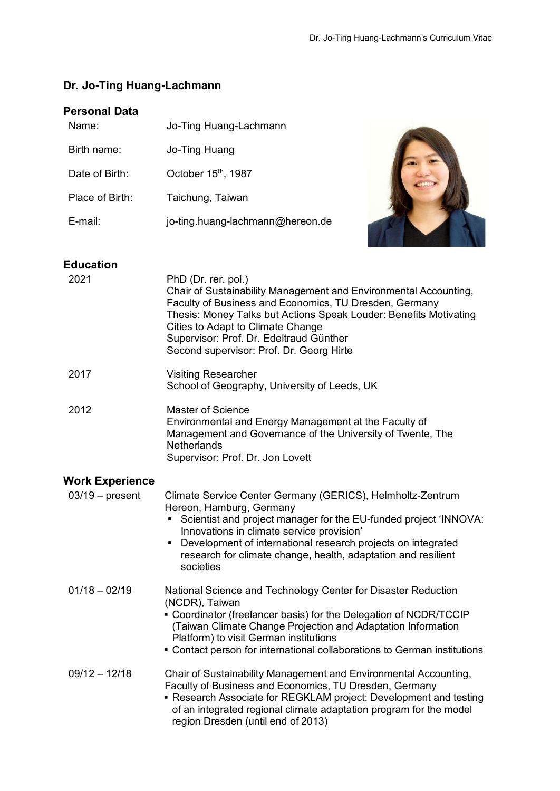# **Dr. Jo-Ting Huang-Lachmann**

## **Personal Data**

| Name:           | Jo-Ting Huang-Lachmann           |
|-----------------|----------------------------------|
| Birth name:     | Jo-Ting Huang                    |
| Date of Birth:  | October 15th, 1987               |
| Place of Birth: | Taichung, Taiwan                 |
| $E$ -mail:      | jo-ting.huang-lachmann@hereon.de |
|                 |                                  |
|                 |                                  |



## **Education**

| 2021                   | PhD (Dr. rer. pol.)<br>Chair of Sustainability Management and Environmental Accounting,<br>Faculty of Business and Economics, TU Dresden, Germany<br>Thesis: Money Talks but Actions Speak Louder: Benefits Motivating<br>Cities to Adapt to Climate Change<br>Supervisor: Prof. Dr. Edeltraud Günther<br>Second supervisor: Prof. Dr. Georg Hirte         |
|------------------------|------------------------------------------------------------------------------------------------------------------------------------------------------------------------------------------------------------------------------------------------------------------------------------------------------------------------------------------------------------|
| 2017                   | <b>Visiting Researcher</b><br>School of Geography, University of Leeds, UK                                                                                                                                                                                                                                                                                 |
| 2012                   | Master of Science<br>Environmental and Energy Management at the Faculty of<br>Management and Governance of the University of Twente, The<br><b>Netherlands</b><br>Supervisor: Prof. Dr. Jon Lovett                                                                                                                                                         |
| <b>Work Experience</b> |                                                                                                                                                                                                                                                                                                                                                            |
| $03/19$ – present      | Climate Service Center Germany (GERICS), Helmholtz-Zentrum<br>Hereon, Hamburg, Germany<br>Scientist and project manager for the EU-funded project 'INNOVA:<br>Innovations in climate service provision'<br>Development of international research projects on integrated<br>٠<br>research for climate change, health, adaptation and resilient<br>societies |
| $01/18 - 02/19$        | National Science and Technology Center for Disaster Reduction<br>(NCDR), Taiwan<br>• Coordinator (freelancer basis) for the Delegation of NCDR/TCCIP<br>(Taiwan Climate Change Projection and Adaptation Information<br>Platform) to visit German institutions<br>• Contact person for international collaborations to German institutions                 |
| $09/12 - 12/18$        | Chair of Sustainability Management and Environmental Accounting,<br>Faculty of Business and Economics, TU Dresden, Germany<br>Research Associate for REGKLAM project: Development and testing<br>of an integrated regional climate adaptation program for the model<br>region Dresden (until end of 2013)                                                  |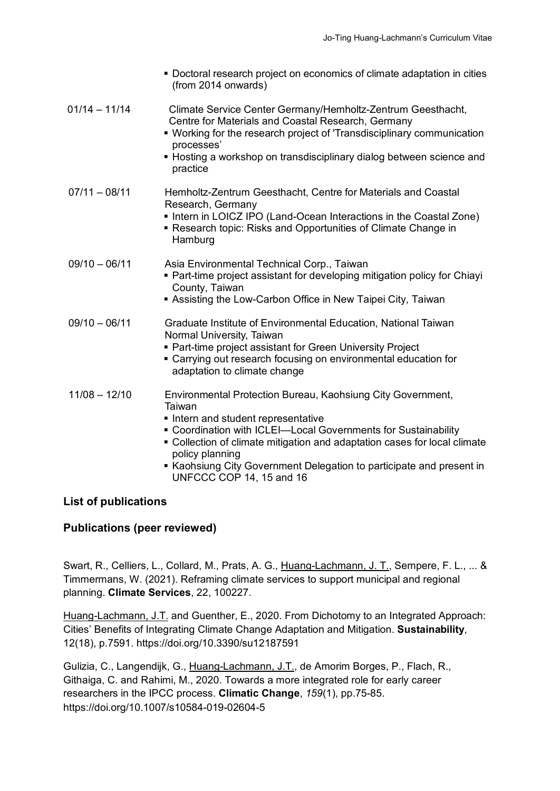|                 | • Doctoral research project on economics of climate adaptation in cities<br>(from 2014 onwards)                                                                                                                                                                                                                                                                                  |
|-----------------|----------------------------------------------------------------------------------------------------------------------------------------------------------------------------------------------------------------------------------------------------------------------------------------------------------------------------------------------------------------------------------|
| $01/14 - 11/14$ | Climate Service Center Germany/Hemholtz-Zentrum Geesthacht,<br>Centre for Materials and Coastal Research, Germany<br>• Working for the research project of 'Transdisciplinary communication<br>processes'<br>• Hosting a workshop on transdisciplinary dialog between science and<br>practice                                                                                    |
| $07/11 - 08/11$ | Hemholtz-Zentrum Geesthacht, Centre for Materials and Coastal<br>Research, Germany<br>• Intern in LOICZ IPO (Land-Ocean Interactions in the Coastal Zone)<br>Research topic: Risks and Opportunities of Climate Change in<br>Hamburg                                                                                                                                             |
| $09/10 - 06/11$ | Asia Environmental Technical Corp., Taiwan<br>• Part-time project assistant for developing mitigation policy for Chiayi<br>County, Taiwan<br>Assisting the Low-Carbon Office in New Taipei City, Taiwan                                                                                                                                                                          |
| $09/10 - 06/11$ | Graduate Institute of Environmental Education, National Taiwan<br>Normal University, Taiwan<br>• Part-time project assistant for Green University Project<br>" Carrying out research focusing on environmental education for<br>adaptation to climate change                                                                                                                     |
| $11/08 - 12/10$ | Environmental Protection Bureau, Kaohsiung City Government,<br>Taiwan<br>Intern and student representative<br>• Coordination with ICLEI-Local Governments for Sustainability<br>• Collection of climate mitigation and adaptation cases for local climate<br>policy planning<br>■ Kaohsiung City Government Delegation to participate and present in<br>UNFCCC COP 14, 15 and 16 |

## **List of publications**

## **Publications (peer reviewed)**

Swart, R., Celliers, L., Collard, M., Prats, A. G., Huang-Lachmann, J. T., Sempere, F. L., ... & Timmermans, W. (2021). Reframing climate services to support municipal and regional planning. **Climate Services**, 22, 100227.

Huang-Lachmann, J.T. and Guenther, E., 2020. From Dichotomy to an Integrated Approach: Cities' Benefits of Integrating Climate Change Adaptation and Mitigation. **Sustainability**, 12(18), p.7591. https://doi.org/10.3390/su12187591

Gulizia, C., Langendijk, G., Huang-Lachmann, J.T., de Amorim Borges, P., Flach, R., Githaiga, C. and Rahimi, M., 2020. Towards a more integrated role for early career researchers in the IPCC process. **Climatic Change**, *159*(1), pp.75-85. <https://doi.org/10.1007/s10584-019-02604-5>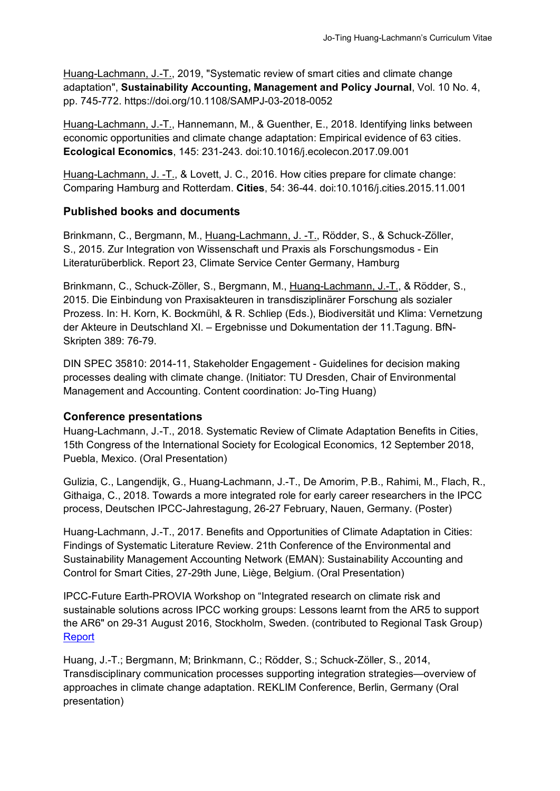Huang-Lachmann, J.-T., 2019, "Systematic review of smart cities and climate change adaptation", **Sustainability Accounting, Management and Policy Journal**, Vol. 10 No. 4, pp. 745-772. https://doi.org/10.1108/SAMPJ-03-2018-0052

Huang-Lachmann, J.-T., Hannemann, M., & Guenther, E., 2018. Identifying links between economic opportunities and climate change adaptation: Empirical evidence of 63 cities. **Ecological Economics**, 145: 231-243. doi:10.1016/j.ecolecon.2017.09.001

Huang-Lachmann, J. -T., & Lovett, J. C., 2016. How cities prepare for climate change: Comparing Hamburg and Rotterdam. **Cities**, 54: 36-44. doi:10.1016/j.cities.2015.11.001

## **Published books and documents**

Brinkmann, C., Bergmann, M., Huang-Lachmann, J. -T., Rödder, S., & Schuck-Zöller, S., 2015. Zur Integration von Wissenschaft und Praxis als Forschungsmodus - Ein Literaturüberblick. Report 23, Climate Service Center Germany, Hamburg

Brinkmann, C., Schuck-Zöller, S., Bergmann, M., Huang-Lachmann, J.-T., & Rödder, S., 2015. Die Einbindung von Praxisakteuren in transdisziplinärer Forschung als sozialer Prozess. In: H. Korn, K. Bockmühl, & R. Schliep (Eds.), Biodiversität und Klima: Vernetzung der Akteure in Deutschland XI. – Ergebnisse und Dokumentation der 11.Tagung. BfN-Skripten 389: 76-79.

DIN SPEC 35810: 2014-11, Stakeholder Engagement - Guidelines for decision making processes dealing with climate change. (Initiator: TU Dresden, Chair of Environmental Management and Accounting. Content coordination: Jo-Ting Huang)

### **Conference presentations**

Huang-Lachmann, J.-T., 2018. Systematic Review of Climate Adaptation Benefits in Cities, 15th Congress of the International Society for Ecological Economics, 12 September 2018, Puebla, Mexico. (Oral Presentation)

Gulizia, C., Langendijk, G., Huang-Lachmann, J.-T., De Amorim, P.B., Rahimi, M., Flach, R., Githaiga, C., 2018. Towards a more integrated role for early career researchers in the IPCC process, Deutschen IPCC-Jahrestagung, 26-27 February, Nauen, Germany. (Poster)

Huang-Lachmann, J.-T., 2017. Benefits and Opportunities of Climate Adaptation in Cities: Findings of Systematic Literature Review. 21th Conference of the Environmental and Sustainability Management Accounting Network (EMAN): Sustainability Accounting and Control for Smart Cities, 27-29th June, Liège, Belgium. (Oral Presentation)

IPCC-Future Earth-PROVIA Workshop on "Integrated research on climate risk and sustainable solutions across IPCC working groups: Lessons learnt from the AR5 to support the AR6" on 29-31 August 2016, Stockholm, Sweden. (contributed to Regional Task Group) [Report](https://www.ipcc.ch/apps/eventmanager/documents/40/210920161045-INF.8-Provia.pdf)

Huang, J.-T.; Bergmann, M; Brinkmann, C.; Rödder, S.; Schuck-Zöller, S., 2014, Transdisciplinary communication processes supporting integration strategies—overview of approaches in climate change adaptation. REKLIM Conference, Berlin, Germany (Oral presentation)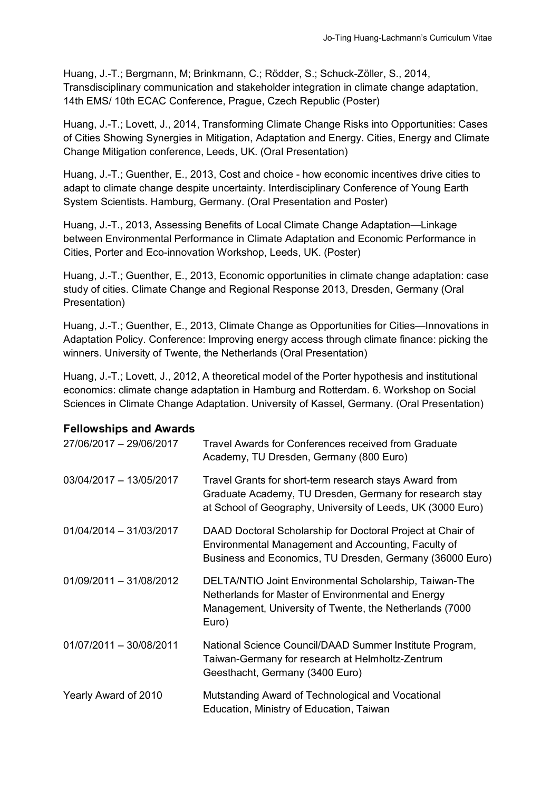Huang, J.-T.; Bergmann, M; Brinkmann, C.; Rödder, S.; Schuck-Zöller, S., 2014, Transdisciplinary communication and stakeholder integration in climate change adaptation, 14th EMS/ 10th ECAC Conference, Prague, Czech Republic (Poster)

Huang, J.-T.; Lovett, J., 2014, Transforming Climate Change Risks into Opportunities: Cases of Cities Showing Synergies in Mitigation, Adaptation and Energy. Cities, Energy and Climate Change Mitigation conference, Leeds, UK. (Oral Presentation)

Huang, J.-T.; Guenther, E., 2013, Cost and choice - how economic incentives drive cities to adapt to climate change despite uncertainty. Interdisciplinary Conference of Young Earth System Scientists. Hamburg, Germany. (Oral Presentation and Poster)

Huang, J.-T., 2013, Assessing Benefits of Local Climate Change Adaptation—Linkage between Environmental Performance in Climate Adaptation and Economic Performance in Cities, Porter and Eco-innovation Workshop, Leeds, UK. (Poster)

Huang, J.-T.; Guenther, E., 2013, Economic opportunities in climate change adaptation: case study of cities. Climate Change and Regional Response 2013, Dresden, Germany (Oral Presentation)

Huang, J.-T.; Guenther, E., 2013, Climate Change as Opportunities for Cities—Innovations in Adaptation Policy. Conference: Improving energy access through climate finance: picking the winners. University of Twente, the Netherlands (Oral Presentation)

Huang, J.-T.; Lovett, J., 2012, A theoretical model of the Porter hypothesis and institutional economics: climate change adaptation in Hamburg and Rotterdam. 6. Workshop on Social Sciences in Climate Change Adaptation. University of Kassel, Germany. (Oral Presentation)

### **Fellowships and Awards**

| 27/06/2017 - 29/06/2017 | Travel Awards for Conferences received from Graduate<br>Academy, TU Dresden, Germany (800 Euro)                                                                                  |
|-------------------------|----------------------------------------------------------------------------------------------------------------------------------------------------------------------------------|
| 03/04/2017 - 13/05/2017 | Travel Grants for short-term research stays Award from<br>Graduate Academy, TU Dresden, Germany for research stay<br>at School of Geography, University of Leeds, UK (3000 Euro) |
| 01/04/2014 - 31/03/2017 | DAAD Doctoral Scholarship for Doctoral Project at Chair of<br>Environmental Management and Accounting, Faculty of<br>Business and Economics, TU Dresden, Germany (36000 Euro)    |
| 01/09/2011 - 31/08/2012 | DELTA/NTIO Joint Environmental Scholarship, Taiwan-The<br>Netherlands for Master of Environmental and Energy<br>Management, University of Twente, the Netherlands (7000<br>Euro) |
| 01/07/2011 - 30/08/2011 | National Science Council/DAAD Summer Institute Program,<br>Taiwan-Germany for research at Helmholtz-Zentrum<br>Geesthacht, Germany (3400 Euro)                                   |
| Yearly Award of 2010    | Mutstanding Award of Technological and Vocational<br>Education, Ministry of Education, Taiwan                                                                                    |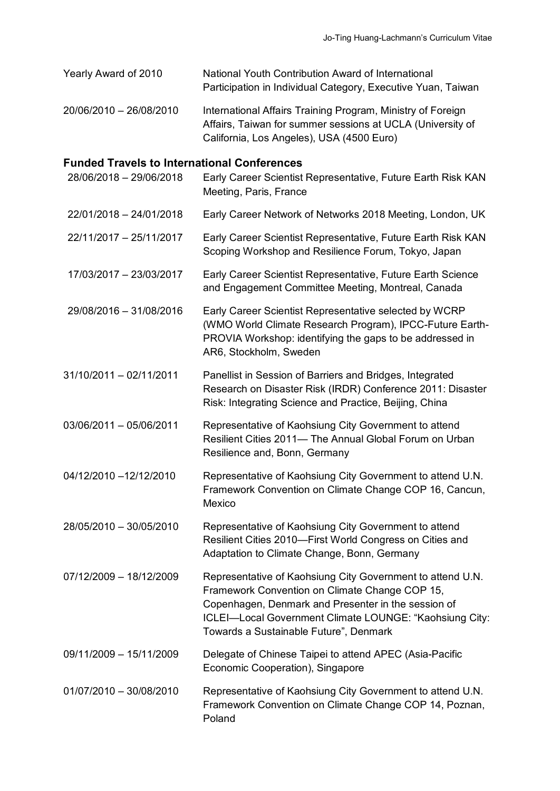Yearly Award of 2010 National Youth Contribution Award of International Participation in Individual Category, Executive Yuan, Taiwan 20/06/2010 – 26/08/2010 International Affairs Training Program, Ministry of Foreign Affairs, Taiwan for summer sessions at UCLA (University of

California, Los Angeles), USA (4500 Euro)

### **Funded Travels to International Conferences**

| 28/06/2018 - 29/06/2018 | Early Career Scientist Representative, Future Earth Risk KAN<br>Meeting, Paris, France                                                                                                                                                                                   |
|-------------------------|--------------------------------------------------------------------------------------------------------------------------------------------------------------------------------------------------------------------------------------------------------------------------|
| 22/01/2018 - 24/01/2018 | Early Career Network of Networks 2018 Meeting, London, UK                                                                                                                                                                                                                |
| 22/11/2017 - 25/11/2017 | Early Career Scientist Representative, Future Earth Risk KAN<br>Scoping Workshop and Resilience Forum, Tokyo, Japan                                                                                                                                                      |
| 17/03/2017 - 23/03/2017 | Early Career Scientist Representative, Future Earth Science<br>and Engagement Committee Meeting, Montreal, Canada                                                                                                                                                        |
| 29/08/2016 - 31/08/2016 | Early Career Scientist Representative selected by WCRP<br>(WMO World Climate Research Program), IPCC-Future Earth-<br>PROVIA Workshop: identifying the gaps to be addressed in<br>AR6, Stockholm, Sweden                                                                 |
| 31/10/2011 - 02/11/2011 | Panellist in Session of Barriers and Bridges, Integrated<br>Research on Disaster Risk (IRDR) Conference 2011: Disaster<br>Risk: Integrating Science and Practice, Beijing, China                                                                                         |
| 03/06/2011 - 05/06/2011 | Representative of Kaohsiung City Government to attend<br>Resilient Cities 2011- The Annual Global Forum on Urban<br>Resilience and, Bonn, Germany                                                                                                                        |
| 04/12/2010 -12/12/2010  | Representative of Kaohsiung City Government to attend U.N.<br>Framework Convention on Climate Change COP 16, Cancun,<br>Mexico                                                                                                                                           |
| 28/05/2010 - 30/05/2010 | Representative of Kaohsiung City Government to attend<br>Resilient Cities 2010-First World Congress on Cities and<br>Adaptation to Climate Change, Bonn, Germany                                                                                                         |
| 07/12/2009 - 18/12/2009 | Representative of Kaohsiung City Government to attend U.N.<br>Framework Convention on Climate Change COP 15,<br>Copenhagen, Denmark and Presenter in the session of<br>ICLEI-Local Government Climate LOUNGE: "Kaohsiung City:<br>Towards a Sustainable Future", Denmark |
| 09/11/2009 - 15/11/2009 | Delegate of Chinese Taipei to attend APEC (Asia-Pacific<br>Economic Cooperation), Singapore                                                                                                                                                                              |
| 01/07/2010 - 30/08/2010 | Representative of Kaohsiung City Government to attend U.N.<br>Framework Convention on Climate Change COP 14, Poznan,<br>Poland                                                                                                                                           |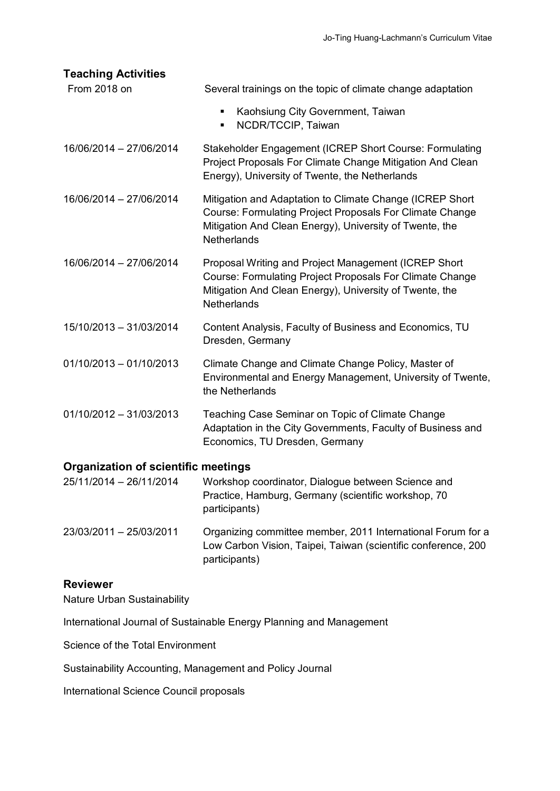| <b>Teaching Activities</b>                 |                                                                                                                                                                                                          |
|--------------------------------------------|----------------------------------------------------------------------------------------------------------------------------------------------------------------------------------------------------------|
| From 2018 on                               | Several trainings on the topic of climate change adaptation                                                                                                                                              |
|                                            | Kaohsiung City Government, Taiwan<br>٠<br>NCDR/TCCIP, Taiwan<br>٠                                                                                                                                        |
| 16/06/2014 - 27/06/2014                    | Stakeholder Engagement (ICREP Short Course: Formulating<br>Project Proposals For Climate Change Mitigation And Clean<br>Energy), University of Twente, the Netherlands                                   |
| 16/06/2014 - 27/06/2014                    | Mitigation and Adaptation to Climate Change (ICREP Short<br>Course: Formulating Project Proposals For Climate Change<br>Mitigation And Clean Energy), University of Twente, the<br>Netherlands           |
| 16/06/2014 - 27/06/2014                    | Proposal Writing and Project Management (ICREP Short<br><b>Course: Formulating Project Proposals For Climate Change</b><br>Mitigation And Clean Energy), University of Twente, the<br><b>Netherlands</b> |
| 15/10/2013 - 31/03/2014                    | Content Analysis, Faculty of Business and Economics, TU<br>Dresden, Germany                                                                                                                              |
| $01/10/2013 - 01/10/2013$                  | Climate Change and Climate Change Policy, Master of<br>Environmental and Energy Management, University of Twente,<br>the Netherlands                                                                     |
| $01/10/2012 - 31/03/2013$                  | Teaching Case Seminar on Topic of Climate Change<br>Adaptation in the City Governments, Faculty of Business and<br>Economics, TU Dresden, Germany                                                        |
| <b>Organization of scientific meetings</b> |                                                                                                                                                                                                          |

# 25/11/2014 – 26/11/2014 Workshop coordinator, Dialogue between Science and Practice, Hamburg, Germany (scientific workshop, 70 participants) 23/03/2011 – 25/03/2011 Organizing committee member, 2011 International Forum for a

Low Carbon Vision, Taipei, Taiwan (scientific conference, 200 participants)

## **Reviewer**

Nature Urban Sustainability

International Journal of Sustainable Energy Planning and Management

Science of the Total Environment

Sustainability Accounting, Management and Policy Journal

International Science Council proposals